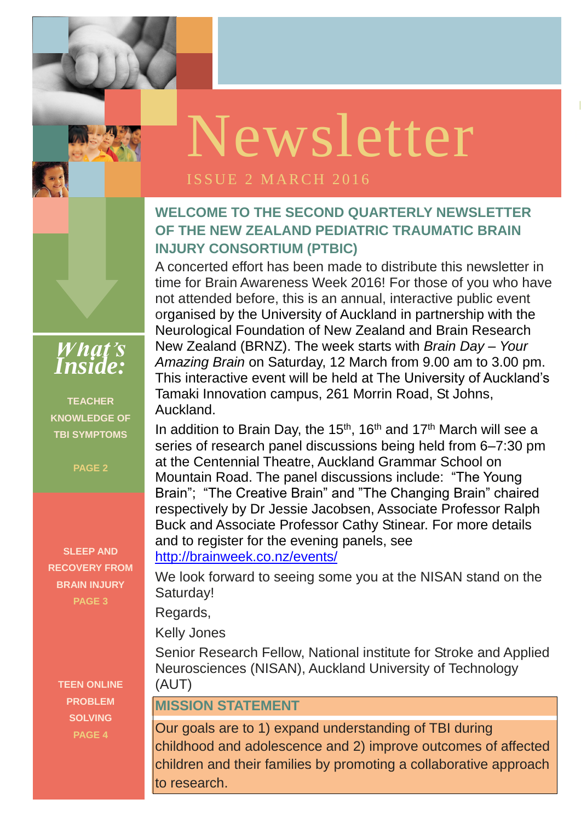**ISSUE 1 OCTOBER** 

### ISSUE 2 MARCH 2016

### **WELCOME TO THE SECOND QUARTERLY NEWSLETTER OF THE NEW ZEALAND PEDIATRIC TRAUMATIC BRAIN INJURY CONSORTIUM (PTBIC)**

A concerted effort has been made to distribute this newsletter in time for Brain Awareness Week 2016! For those of you who have not attended before, this is an annual, interactive public event organised by the University of Auckland in partnership with the Neurological Foundation of New Zealand and Brain Research New Zealand (BRNZ). The week starts with *Brain Day – Your Amazing Brain* on Saturday, 12 March from 9.00 am to 3.00 pm. This interactive event will be held at The University of Auckland's Tamaki Innovation campus, 261 Morrin Road, St Johns, Auckland.

Buck and Associate Professor Cathy Stinear. For more details and to register for the evening panels see In addition to Brain Day, the  $15<sup>th</sup>$ , 16<sup>th</sup> and  $17<sup>th</sup>$  March will see a series of research panel discussions being held from 6–7:30 pm at the Centennial Theatre, Auckland Grammar School on Mountain Road. The panel discussions include: "The Young Brain"; "The Creative Brain" and "The Changing Brain" chaired respectively by Dr Jessie Jacobsen, Associate Professor Ralph and to register for the evening panels, see <http://brainweek.co.nz/events/>

We look forward to seeing some you at the NISAN stand on the Saturday!

Regards,

Kelly Jones

Senior Research Fellow, National institute for Stroke and Applied Neurosciences (NISAN), Auckland University of Technology (AUT)

#### **MISSION STATEMENT**

Our goals are to 1) expand understanding of TBI during childhood and adolescence and 2) improve outcomes of affected children and their families by promoting a collaborative approach to research.

*What's Inside:*

**TEACHER KNOWLEDGE OF TBI SYMPTOMS**

**PAGE 2**

**SLEEP AND RECOVERY FROM BRAIN INJURY PAGE 3**

> **TEEN ONLINE PROBLEM SOLVING PAGE 4**

# Newsletter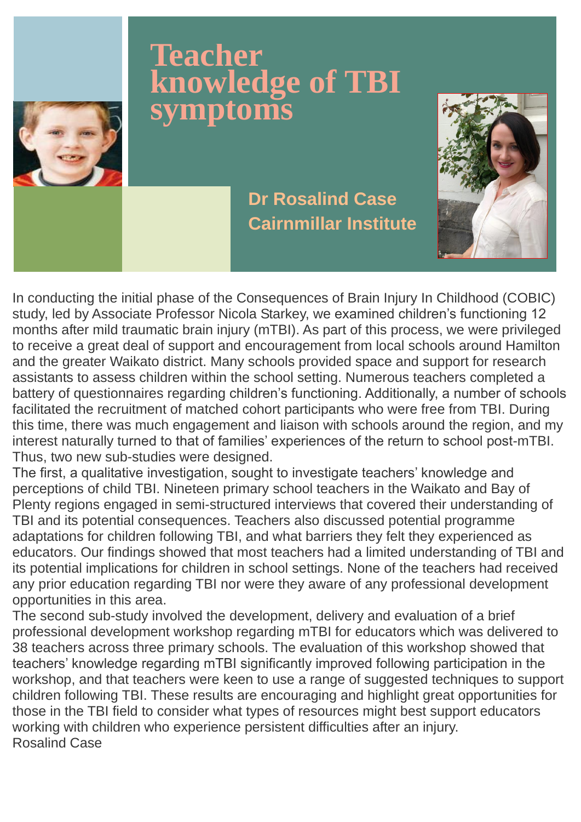In conducting the initial phase of the Consequences of Brain Injury In Childhood (COBIC) study, led by Associate Professor Nicola Starkey, we examined children's functioning 12 months after mild traumatic brain injury (mTBI). As part of this process, we were privileged to receive a great deal of support and encouragement from local schools around Hamilton and the greater Waikato district. Many schools provided space and support for research assistants to assess children within the school setting. Numerous teachers completed a battery of questionnaires regarding children's functioning. Additionally, a number of schools facilitated the recruitment of matched cohort participants who were free from TBI. During this time, there was much engagement and liaison with schools around the region, and my interest naturally turned to that of families' experiences of the return to school post-mTBI. Thus, two new sub-studies were designed.

The first, a qualitative investigation, sought to investigate teachers' knowledge and perceptions of child TBI. Nineteen primary school teachers in the Waikato and Bay of Plenty regions engaged in semi-structured interviews that covered their understanding of TBI and its potential consequences. Teachers also discussed potential programme adaptations for children following TBI, and what barriers they felt they experienced as educators. Our findings showed that most teachers had a limited understanding of TBI and its potential implications for children in school settings. None of the teachers had received any prior education regarding TBI nor were they aware of any professional development opportunities in this area.

The second sub-study involved the development, delivery and evaluation of a brief

professional development workshop regarding mTBI for educators which was delivered to 38 teachers across three primary schools. The evaluation of this workshop showed that teachers' knowledge regarding mTBI significantly improved following participation in the workshop, and that teachers were keen to use a range of suggested techniques to support children following TBI. These results are encouraging and highlight great opportunities for those in the TBI field to consider what types of resources might best support educators working with children who experience persistent difficulties after an injury. Rosalind Case

### **Teacher knowledge of TBI symptoms**

**Dr Rosalind Case Cairnmillar Institute**

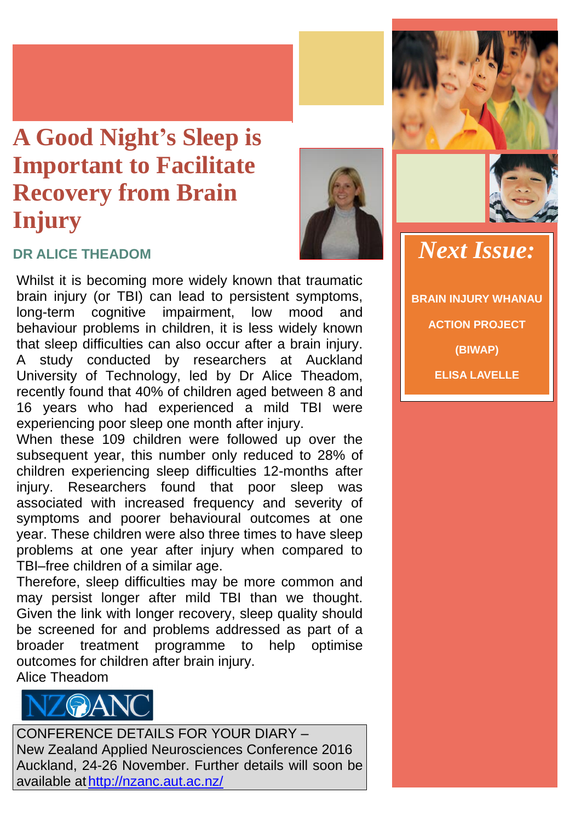Whilst it is becoming more widely known that traumatic brain injury (or TBI) can lead to persistent symptoms, long-term cognitive impairment, low mood and behaviour problems in children, it is less widely known that sleep difficulties can also occur after a brain injury. A study conducted by researchers at Auckland University of Technology, led by Dr Alice Theadom, recently found that 40% of children aged between 8 and 16 years who had experienced a mild TBI were experiencing poor sleep one month after injury.

When these 109 children were followed up over the subsequent year, this number only reduced to 28% of children experiencing sleep difficulties 12-months after injury. Researchers found that poor sleep was associated with increased frequency and severity of symptoms and poorer behavioural outcomes at one year. These children were also three times to have sleep problems at one year after injury when compared to TBI–free children of a similar age.

Therefore, sleep difficulties may be more common and may persist longer after mild TBI than we thought. Given the link with longer recovery, sleep quality should be screened for and problems addressed as part of a broader treatment programme to help optimise outcomes for children after brain injury. Alice Theadom

CONFERENCE DETAILS FOR YOUR DIARY – New Zealand Applied Neurosciences Conference 2016 Auckland, 24-26 November. Further details will soon be available at<http://nzanc.aut.ac.nz/>



### **A Good Night's Sleep is Important to Facilitate Recovery from Brain Injury**





### **DR ALICE THEADOM** *Next Issue:*